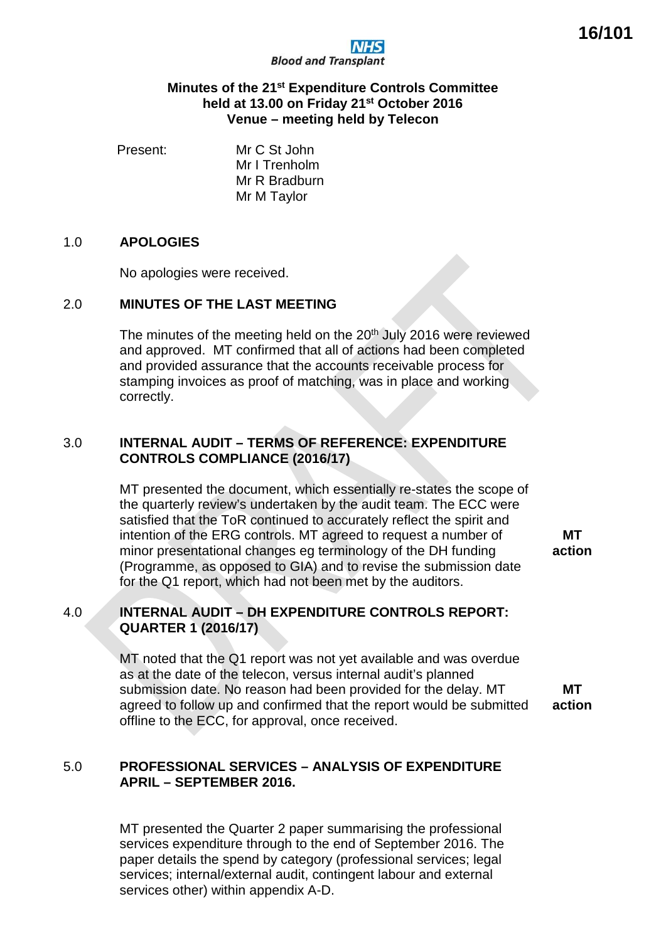

### **Minutes of the 21st Expenditure Controls Committee held at 13.00 on Friday 21st October 2016 Venue – meeting held by Telecon**

Present: Mr C St John Mr I Trenholm Mr R Bradburn Mr M Taylor

### 1.0 **APOLOGIES**

No apologies were received.

# 2.0 **MINUTES OF THE LAST MEETING**

The minutes of the meeting held on the 20<sup>th</sup> July 2016 were reviewed and approved. MT confirmed that all of actions had been completed and provided assurance that the accounts receivable process for stamping invoices as proof of matching, was in place and working correctly.

# 3.0 **INTERNAL AUDIT – TERMS OF REFERENCE: EXPENDITURE CONTROLS COMPLIANCE (2016/17)**

MT presented the document, which essentially re-states the scope of the quarterly review's undertaken by the audit team. The ECC were satisfied that the ToR continued to accurately reflect the spirit and intention of the ERG controls. MT agreed to request a number of minor presentational changes eg terminology of the DH funding (Programme, as opposed to GIA) and to revise the submission date for the Q1 report, which had not been met by the auditors.

**MT action**

# 4.0 **INTERNAL AUDIT – DH EXPENDITURE CONTROLS REPORT: QUARTER 1 (2016/17)**

MT noted that the Q1 report was not yet available and was overdue as at the date of the telecon, versus internal audit's planned submission date. No reason had been provided for the delay. MT agreed to follow up and confirmed that the report would be submitted offline to the ECC, for approval, once received. **MT action**

# 5.0 **PROFESSIONAL SERVICES – ANALYSIS OF EXPENDITURE APRIL – SEPTEMBER 2016.**

MT presented the Quarter 2 paper summarising the professional services expenditure through to the end of September 2016. The paper details the spend by category (professional services; legal services; internal/external audit, contingent labour and external services other) within appendix A-D.